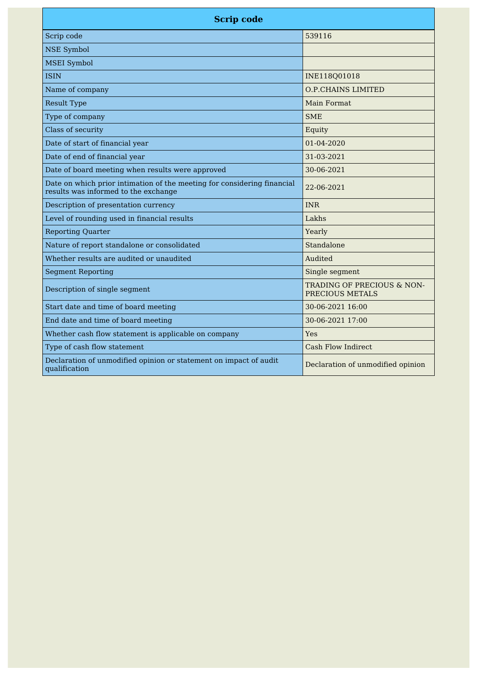| <b>Scrip code</b>                                                                                               |                                               |
|-----------------------------------------------------------------------------------------------------------------|-----------------------------------------------|
| Scrip code                                                                                                      | 539116                                        |
| <b>NSE Symbol</b>                                                                                               |                                               |
| <b>MSEI</b> Symbol                                                                                              |                                               |
| <b>ISIN</b>                                                                                                     | INE118Q01018                                  |
| Name of company                                                                                                 | <b>O.P.CHAINS LIMITED</b>                     |
| <b>Result Type</b>                                                                                              | <b>Main Format</b>                            |
| Type of company                                                                                                 | <b>SME</b>                                    |
| Class of security                                                                                               | Equity                                        |
| Date of start of financial year                                                                                 | $01 - 04 - 2020$                              |
| Date of end of financial year                                                                                   | 31-03-2021                                    |
| Date of board meeting when results were approved                                                                | 30-06-2021                                    |
| Date on which prior intimation of the meeting for considering financial<br>results was informed to the exchange | 22-06-2021                                    |
| Description of presentation currency                                                                            | <b>INR</b>                                    |
| Level of rounding used in financial results                                                                     | Lakhs                                         |
| <b>Reporting Quarter</b>                                                                                        | Yearly                                        |
| Nature of report standalone or consolidated                                                                     | Standalone                                    |
| Whether results are audited or unaudited                                                                        | Audited                                       |
| <b>Segment Reporting</b>                                                                                        | Single segment                                |
| Description of single segment                                                                                   | TRADING OF PRECIOUS & NON-<br>PRECIOUS METALS |
| Start date and time of board meeting                                                                            | 30-06-2021 16:00                              |
| End date and time of board meeting                                                                              | 30-06-2021 17:00                              |
| Whether cash flow statement is applicable on company                                                            | Yes                                           |
| Type of cash flow statement                                                                                     | <b>Cash Flow Indirect</b>                     |
| Declaration of unmodified opinion or statement on impact of audit<br>qualification                              | Declaration of unmodified opinion             |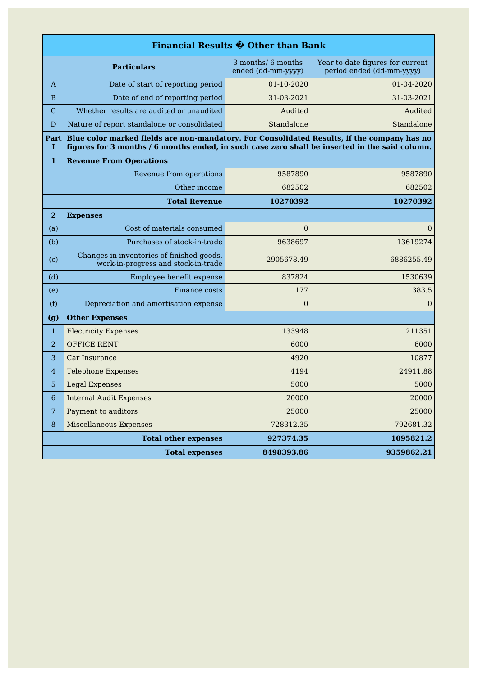|                                                                                                                                                                                                            | Financial Results $\hat{\mathbf{\Phi}}$ Other than Bank                          |                  |                  |  |
|------------------------------------------------------------------------------------------------------------------------------------------------------------------------------------------------------------|----------------------------------------------------------------------------------|------------------|------------------|--|
| Year to date figures for current<br>3 months/ 6 months<br><b>Particulars</b><br>period ended (dd-mm-yyyy)<br>ended (dd-mm-yyyy)                                                                            |                                                                                  |                  |                  |  |
| A                                                                                                                                                                                                          | Date of start of reporting period                                                | 01-10-2020       | 01-04-2020       |  |
| B                                                                                                                                                                                                          | Date of end of reporting period                                                  | 31-03-2021       | 31-03-2021       |  |
| $\mathbf C$                                                                                                                                                                                                | Whether results are audited or unaudited                                         | Audited          | Audited          |  |
| D                                                                                                                                                                                                          | Nature of report standalone or consolidated                                      | Standalone       | Standalone       |  |
| Blue color marked fields are non-mandatory. For Consolidated Results, if the company has no<br>Part<br>figures for 3 months / 6 months ended, in such case zero shall be inserted in the said column.<br>I |                                                                                  |                  |                  |  |
| 1                                                                                                                                                                                                          | <b>Revenue From Operations</b>                                                   |                  |                  |  |
|                                                                                                                                                                                                            | Revenue from operations                                                          | 9587890          | 9587890          |  |
|                                                                                                                                                                                                            | Other income                                                                     | 682502           | 682502           |  |
|                                                                                                                                                                                                            | <b>Total Revenue</b>                                                             | 10270392         | 10270392         |  |
| $\bf{2}$                                                                                                                                                                                                   | <b>Expenses</b>                                                                  |                  |                  |  |
| (a)                                                                                                                                                                                                        | Cost of materials consumed                                                       | $\overline{0}$   | 0                |  |
| (b)                                                                                                                                                                                                        | Purchases of stock-in-trade                                                      | 9638697          | 13619274         |  |
| (c)                                                                                                                                                                                                        | Changes in inventories of finished goods,<br>work-in-progress and stock-in-trade | -2905678.49      | -6886255.49      |  |
| (d)                                                                                                                                                                                                        | Employee benefit expense                                                         | 837824           | 1530639          |  |
| (e)                                                                                                                                                                                                        | Finance costs                                                                    | 177              | 383.5            |  |
| (f)                                                                                                                                                                                                        | Depreciation and amortisation expense                                            | $\boldsymbol{0}$ | $\boldsymbol{0}$ |  |
| (g)                                                                                                                                                                                                        | <b>Other Expenses</b>                                                            |                  |                  |  |
| $\mathbf{1}$                                                                                                                                                                                               | <b>Electricity Expenses</b>                                                      | 133948           | 211351           |  |
| $\overline{2}$                                                                                                                                                                                             | <b>OFFICE RENT</b>                                                               | 6000             | 6000             |  |
| 3                                                                                                                                                                                                          | Car Insurance                                                                    | 4920             | 10877            |  |
| $\overline{4}$                                                                                                                                                                                             | <b>Telephone Expenses</b>                                                        | 4194             | 24911.88         |  |
| 5                                                                                                                                                                                                          | <b>Legal Expenses</b>                                                            | 5000             | 5000             |  |
| 6                                                                                                                                                                                                          | <b>Internal Audit Expenses</b>                                                   | 20000            | 20000            |  |
| 7                                                                                                                                                                                                          | Payment to auditors                                                              | 25000            | 25000            |  |
| $\, 8$                                                                                                                                                                                                     | <b>Miscellaneous Expenses</b>                                                    | 728312.35        | 792681.32        |  |
|                                                                                                                                                                                                            | <b>Total other expenses</b>                                                      | 927374.35        | 1095821.2        |  |
|                                                                                                                                                                                                            | <b>Total expenses</b>                                                            | 8498393.86       | 9359862.21       |  |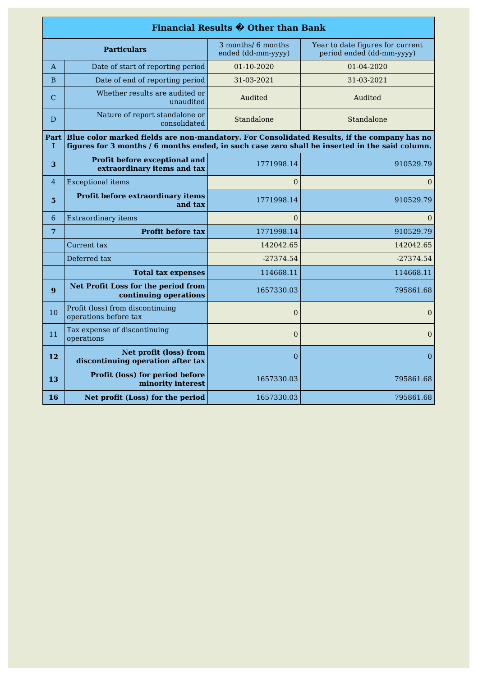|                |                                                                                                                                                                                               | Financial Results $\hat{\mathbf{\Theta}}$ Other than Bank |                |  |
|----------------|-----------------------------------------------------------------------------------------------------------------------------------------------------------------------------------------------|-----------------------------------------------------------|----------------|--|
|                | 3 months/ 6 months<br>Year to date figures for current<br><b>Particulars</b><br>ended (dd-mm-yyyy)<br>period ended (dd-mm-yyyy)                                                               |                                                           |                |  |
| A              | Date of start of reporting period                                                                                                                                                             | 01-10-2020                                                | 01-04-2020     |  |
| B              | Date of end of reporting period                                                                                                                                                               | 31-03-2021                                                | 31-03-2021     |  |
| C              | Whether results are audited or<br>unaudited                                                                                                                                                   | Audited                                                   | Audited        |  |
| D              | Nature of report standalone or<br>consolidated                                                                                                                                                | Standalone                                                | Standalone     |  |
| Part  <br>1    | Blue color marked fields are non-mandatory. For Consolidated Results, if the company has no<br>figures for 3 months / 6 months ended, in such case zero shall be inserted in the said column. |                                                           |                |  |
| 3              | Profit before exceptional and<br>extraordinary items and tax                                                                                                                                  | 1771998.14                                                | 910529.79      |  |
| $\overline{4}$ | <b>Exceptional items</b>                                                                                                                                                                      | $\overline{0}$                                            | $\overline{0}$ |  |
| 5              | Profit before extraordinary items<br>and tax                                                                                                                                                  | 1771998.14                                                | 910529.79      |  |
| 6              | <b>Extraordinary items</b>                                                                                                                                                                    | $\theta$                                                  | $\Omega$       |  |
| 7              | <b>Profit before tax</b>                                                                                                                                                                      | 1771998.14                                                | 910529.79      |  |
|                | Current tax                                                                                                                                                                                   | 142042.65                                                 | 142042.65      |  |
|                | Deferred tax                                                                                                                                                                                  | $-27374.54$                                               | $-27374.54$    |  |
|                | <b>Total tax expenses</b>                                                                                                                                                                     | 114668.11                                                 | 114668.11      |  |
| 9              | Net Profit Loss for the period from<br>continuing operations                                                                                                                                  | 1657330.03                                                | 795861.68      |  |
| 10             | Profit (loss) from discontinuing<br>operations before tax                                                                                                                                     | $\overline{0}$                                            | $\overline{0}$ |  |
| 11             | Tax expense of discontinuing<br>operations                                                                                                                                                    | $\overline{0}$                                            | $\overline{0}$ |  |
| 12             | Net profit (loss) from<br>discontinuing operation after tax                                                                                                                                   | $\overline{0}$                                            | $\overline{0}$ |  |
| 13             | Profit (loss) for period before<br>minority interest                                                                                                                                          | 1657330.03                                                | 795861.68      |  |
| 16             | Net profit (Loss) for the period                                                                                                                                                              | 1657330.03                                                | 795861.68      |  |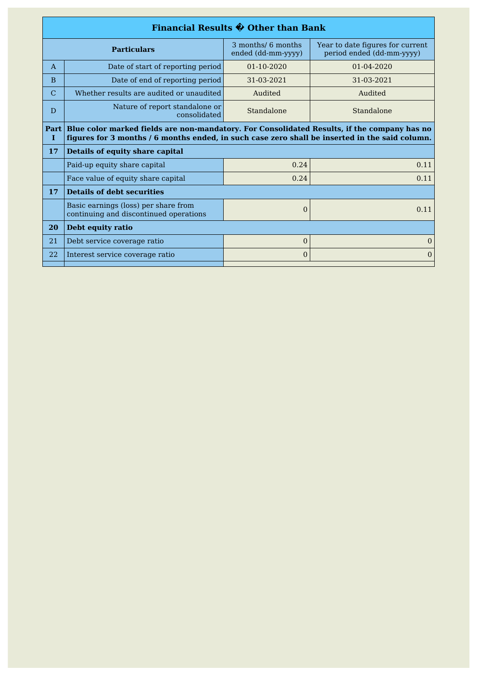| Financial Results $\hat{\mathbf{\Theta}}$ Other than Bank                      |                                          |                                                                                                                                                                                               |  |
|--------------------------------------------------------------------------------|------------------------------------------|-----------------------------------------------------------------------------------------------------------------------------------------------------------------------------------------------|--|
| <b>Particulars</b>                                                             | 3 months/ 6 months<br>ended (dd-mm-yyyy) | Year to date figures for current<br>period ended (dd-mm-yyyy)                                                                                                                                 |  |
| Date of start of reporting period                                              | $01 - 10 - 2020$                         | $01 - 04 - 2020$                                                                                                                                                                              |  |
| Date of end of reporting period                                                | 31-03-2021                               | 31-03-2021                                                                                                                                                                                    |  |
| Whether results are audited or unaudited                                       | Audited                                  | Audited                                                                                                                                                                                       |  |
| Nature of report standalone or<br>consolidated                                 | Standalone                               | Standalone                                                                                                                                                                                    |  |
|                                                                                |                                          |                                                                                                                                                                                               |  |
| <b>Details of equity share capital</b>                                         |                                          |                                                                                                                                                                                               |  |
| Paid-up equity share capital                                                   | 0.24                                     | 0.11                                                                                                                                                                                          |  |
| Face value of equity share capital                                             | 0.24                                     | 0.11                                                                                                                                                                                          |  |
| <b>Details of debt securities</b>                                              |                                          |                                                                                                                                                                                               |  |
| Basic earnings (loss) per share from<br>continuing and discontinued operations | $\Omega$                                 | 0.11                                                                                                                                                                                          |  |
| Debt equity ratio                                                              |                                          |                                                                                                                                                                                               |  |
| Debt service coverage ratio                                                    | $\overline{0}$                           | $\mathbf{0}$                                                                                                                                                                                  |  |
| Interest service coverage ratio                                                | $\Omega$                                 | $\Omega$                                                                                                                                                                                      |  |
| Part                                                                           |                                          | Blue color marked fields are non-mandatory. For Consolidated Results, if the company has no<br>figures for 3 months / 6 months ended, in such case zero shall be inserted in the said column. |  |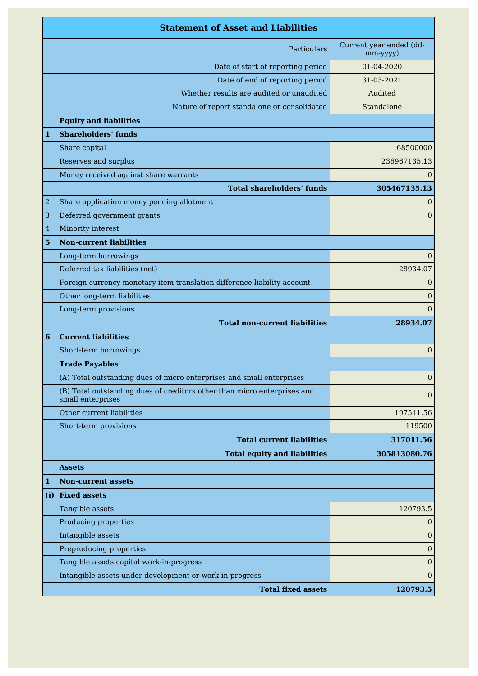|     | <b>Statement of Asset and Liabilities</b>                                                     |                                     |
|-----|-----------------------------------------------------------------------------------------------|-------------------------------------|
|     | Particulars                                                                                   | Current year ended (dd-<br>mm-yyyy) |
|     | Date of start of reporting period                                                             | 01-04-2020                          |
|     | Date of end of reporting period                                                               | 31-03-2021                          |
|     | Whether results are audited or unaudited                                                      | Audited                             |
|     | Nature of report standalone or consolidated                                                   | Standalone                          |
|     | <b>Equity and liabilities</b>                                                                 |                                     |
| 1   | <b>Shareholders' funds</b>                                                                    |                                     |
|     | Share capital                                                                                 | 68500000                            |
|     | Reserves and surplus                                                                          | 236967135.13                        |
|     | Money received against share warrants                                                         | 0                                   |
|     | <b>Total shareholders' funds</b>                                                              | 305467135.13                        |
| 2   | Share application money pending allotment                                                     | 0                                   |
| 3   | Deferred government grants                                                                    | $\overline{0}$                      |
| 4   | Minority interest                                                                             |                                     |
| 5   | <b>Non-current liabilities</b>                                                                |                                     |
|     | Long-term borrowings                                                                          | 0                                   |
|     | Deferred tax liabilities (net)                                                                | 28934.07                            |
|     | Foreign currency monetary item translation difference liability account                       | $\boldsymbol{0}$                    |
|     | Other long-term liabilities                                                                   | $\overline{0}$                      |
|     | Long-term provisions                                                                          | $\overline{0}$                      |
|     | <b>Total non-current liabilities</b>                                                          | 28934.07                            |
| 6   | <b>Current liabilities</b>                                                                    |                                     |
|     | Short-term borrowings                                                                         | $\mathbf{0}$                        |
|     | <b>Trade Payables</b>                                                                         |                                     |
|     | (A) Total outstanding dues of micro enterprises and small enterprises                         | $\mathbf{0}$                        |
|     | (B) Total outstanding dues of creditors other than micro enterprises and<br>small enterprises | $\overline{0}$                      |
|     | Other current liabilities                                                                     | 197511.56                           |
|     | Short-term provisions                                                                         | 119500                              |
|     | <b>Total current liabilities</b>                                                              | 317011.56                           |
|     | <b>Total equity and liabilities</b>                                                           | 305813080.76                        |
|     | <b>Assets</b>                                                                                 |                                     |
| 1   | <b>Non-current assets</b>                                                                     |                                     |
| (i) | <b>Fixed assets</b>                                                                           |                                     |
|     | Tangible assets                                                                               | 120793.5                            |
|     | Producing properties                                                                          | $\theta$                            |
|     | Intangible assets                                                                             | $\boldsymbol{0}$                    |
|     | Preproducing properties                                                                       | $\mathbf{0}$                        |
|     | Tangible assets capital work-in-progress                                                      | $\mathbf{0}$                        |
|     | Intangible assets under development or work-in-progress                                       | $\mathbf{0}$                        |
|     | <b>Total fixed assets</b>                                                                     | 120793.5                            |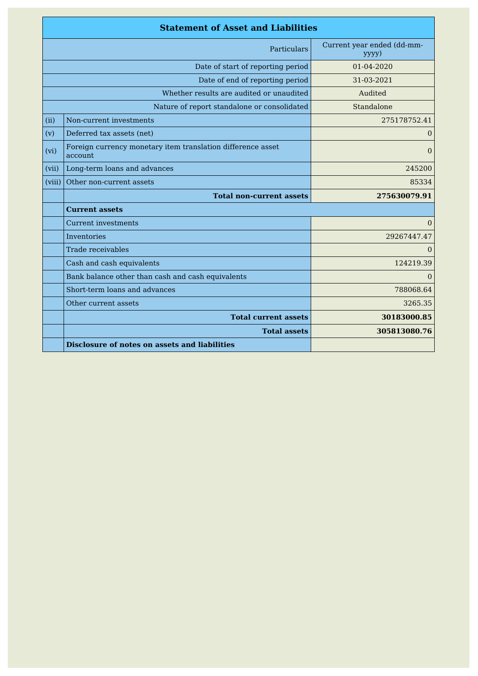|        | <b>Statement of Asset and Liabilities</b>                               |                                     |
|--------|-------------------------------------------------------------------------|-------------------------------------|
|        | Particulars                                                             | Current year ended (dd-mm-<br>yyyy) |
|        | Date of start of reporting period                                       | 01-04-2020                          |
|        | Date of end of reporting period                                         | 31-03-2021                          |
|        | Whether results are audited or unaudited                                | Audited                             |
|        | Nature of report standalone or consolidated                             | Standalone                          |
| (ii)   | Non-current investments                                                 | 275178752.41                        |
| (v)    | Deferred tax assets (net)                                               | $\overline{0}$                      |
| (vi)   | Foreign currency monetary item translation difference asset<br>account. | $\Omega$                            |
| (vii)  | Long-term loans and advances                                            | 245200                              |
| (viii) | Other non-current assets                                                | 85334                               |
|        | <b>Total non-current assets</b>                                         | 275630079.91                        |
|        | <b>Current assets</b>                                                   |                                     |
|        | <b>Current investments</b>                                              | $\Omega$                            |
|        | Inventories                                                             | 29267447.47                         |
|        | Trade receivables                                                       | $\Omega$                            |
|        | Cash and cash equivalents                                               | 124219.39                           |
|        | Bank balance other than cash and cash equivalents                       | $\Omega$                            |
|        | Short-term loans and advances                                           | 788068.64                           |
|        | Other current assets                                                    | 3265.35                             |
|        | <b>Total current assets</b>                                             | 30183000.85                         |
|        | <b>Total assets</b>                                                     | 305813080.76                        |
|        | Disclosure of notes on assets and liabilities                           |                                     |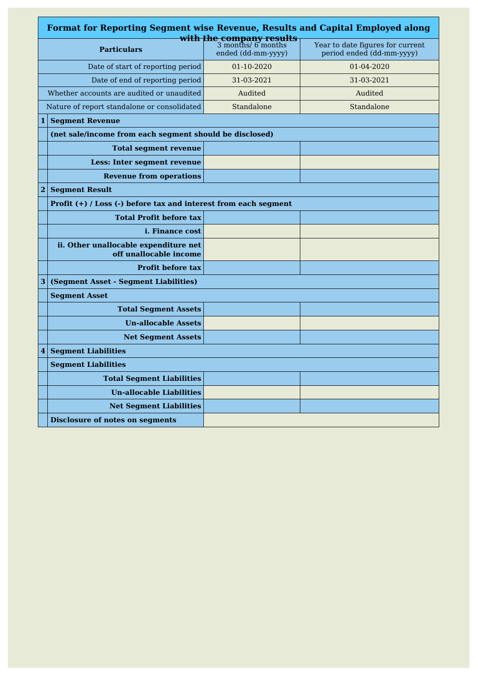|                | <b>Format for Reporting Segment wise Revenue, Results and Capital Employed along</b> |                                                                      |                                                               |
|----------------|--------------------------------------------------------------------------------------|----------------------------------------------------------------------|---------------------------------------------------------------|
|                | <b>Particulars</b>                                                                   | with the company results<br>3 months/ 6 months<br>ended (dd-mm-yyyy) | Year to date figures for current<br>period ended (dd-mm-yyyy) |
|                | Date of start of reporting period                                                    | 01-10-2020                                                           | 01-04-2020                                                    |
|                | Date of end of reporting period                                                      | 31-03-2021                                                           | 31-03-2021                                                    |
|                | Whether accounts are audited or unaudited                                            | Audited                                                              | Audited                                                       |
|                | Nature of report standalone or consolidated                                          | Standalone                                                           | Standalone                                                    |
| $1\vert$       | <b>Segment Revenue</b>                                                               |                                                                      |                                                               |
|                | (net sale/income from each segment should be disclosed)                              |                                                                      |                                                               |
|                | <b>Total segment revenue</b>                                                         |                                                                      |                                                               |
|                | Less: Inter segment revenue                                                          |                                                                      |                                                               |
|                | <b>Revenue from operations</b>                                                       |                                                                      |                                                               |
| $\overline{2}$ | <b>Seament Result</b>                                                                |                                                                      |                                                               |
|                | Profit (+) / Loss (-) before tax and interest from each segment                      |                                                                      |                                                               |
|                | <b>Total Profit before tax</b>                                                       |                                                                      |                                                               |
|                | <i>i.</i> Finance cost                                                               |                                                                      |                                                               |
|                | ii. Other unallocable expenditure net<br>off unallocable income                      |                                                                      |                                                               |
|                | <b>Profit before tax</b>                                                             |                                                                      |                                                               |
| 3              | (Segment Asset - Segment Liabilities)                                                |                                                                      |                                                               |
|                | <b>Segment Asset</b>                                                                 |                                                                      |                                                               |
|                | <b>Total Segment Assets</b>                                                          |                                                                      |                                                               |
|                | <b>Un-allocable Assets</b>                                                           |                                                                      |                                                               |
|                | <b>Net Segment Assets</b>                                                            |                                                                      |                                                               |
| $\overline{4}$ | <b>Segment Liabilities</b>                                                           |                                                                      |                                                               |
|                | <b>Segment Liabilities</b>                                                           |                                                                      |                                                               |
|                | <b>Total Segment Liabilities</b>                                                     |                                                                      |                                                               |
|                | <b>Un-allocable Liabilities</b>                                                      |                                                                      |                                                               |
|                | <b>Net Segment Liabilities</b>                                                       |                                                                      |                                                               |
|                | <b>Disclosure of notes on segments</b>                                               |                                                                      |                                                               |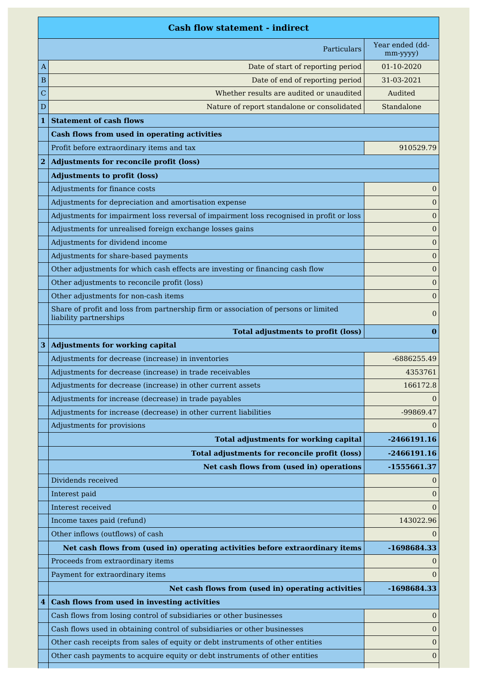|                         | <b>Cash flow statement - indirect</b>                                                                         |                             |
|-------------------------|---------------------------------------------------------------------------------------------------------------|-----------------------------|
|                         | Particulars                                                                                                   | Year ended (dd-<br>mm-yyyy) |
| A                       | Date of start of reporting period                                                                             | 01-10-2020                  |
| В                       | Date of end of reporting period                                                                               | 31-03-2021                  |
| С                       | Whether results are audited or unaudited                                                                      | Audited                     |
| D                       | Nature of report standalone or consolidated                                                                   | Standalone                  |
| $\mathbf{1}$            | <b>Statement of cash flows</b>                                                                                |                             |
|                         | Cash flows from used in operating activities                                                                  |                             |
|                         | Profit before extraordinary items and tax                                                                     | 910529.79                   |
| $\overline{\mathbf{2}}$ | <b>Adjustments for reconcile profit (loss)</b>                                                                |                             |
|                         | <b>Adjustments to profit (loss)</b>                                                                           |                             |
|                         | Adjustments for finance costs                                                                                 | 0                           |
|                         | Adjustments for depreciation and amortisation expense                                                         | $\boldsymbol{0}$            |
|                         | Adjustments for impairment loss reversal of impairment loss recognised in profit or loss                      | $\boldsymbol{0}$            |
|                         | Adjustments for unrealised foreign exchange losses gains                                                      | $\overline{0}$              |
|                         | Adjustments for dividend income                                                                               | $\bf{0}$                    |
|                         | Adjustments for share-based payments                                                                          | $\overline{0}$              |
|                         | Other adjustments for which cash effects are investing or financing cash flow                                 | $\overline{0}$              |
|                         | Other adjustments to reconcile profit (loss)                                                                  | $\boldsymbol{0}$            |
|                         | Other adjustments for non-cash items                                                                          | $\overline{0}$              |
|                         | Share of profit and loss from partnership firm or association of persons or limited<br>liability partnerships | 0                           |
|                         | <b>Total adjustments to profit (loss)</b>                                                                     | $\bf{0}$                    |
| 3                       | <b>Adjustments for working capital</b>                                                                        |                             |
|                         | Adjustments for decrease (increase) in inventories                                                            | -6886255.49                 |
|                         | Adjustments for decrease (increase) in trade receivables                                                      | 4353761                     |
|                         | Adjustments for decrease (increase) in other current assets                                                   | 166172.8                    |
|                         | Adjustments for increase (decrease) in trade payables                                                         | $\Omega$                    |
|                         | Adjustments for increase (decrease) in other current liabilities                                              | -99869.47                   |
|                         | Adjustments for provisions                                                                                    | $\Omega$                    |
|                         | <b>Total adjustments for working capital</b>                                                                  | $-2466191.16$               |
|                         | <b>Total adjustments for reconcile profit (loss)</b>                                                          | -2466191.16                 |
|                         | Net cash flows from (used in) operations                                                                      | -1555661.37                 |
|                         | Dividends received                                                                                            | $\theta$                    |
|                         | Interest paid                                                                                                 | $\overline{0}$              |
|                         | Interest received                                                                                             | $\Omega$                    |
|                         | Income taxes paid (refund)                                                                                    | 143022.96                   |
|                         | Other inflows (outflows) of cash                                                                              | $\Omega$                    |
|                         | Net cash flows from (used in) operating activities before extraordinary items                                 | -1698684.33                 |
|                         | Proceeds from extraordinary items                                                                             | 0                           |
|                         | Payment for extraordinary items                                                                               | $\Omega$                    |
|                         | Net cash flows from (used in) operating activities                                                            | -1698684.33                 |
| 4                       | <b>Cash flows from used in investing activities</b>                                                           |                             |
|                         | Cash flows from losing control of subsidiaries or other businesses                                            | $\overline{0}$              |
|                         | Cash flows used in obtaining control of subsidiaries or other businesses                                      | 0                           |
|                         | Other cash receipts from sales of equity or debt instruments of other entities                                | $\mathbf{0}$                |
|                         | Other cash payments to acquire equity or debt instruments of other entities                                   | $\boldsymbol{0}$            |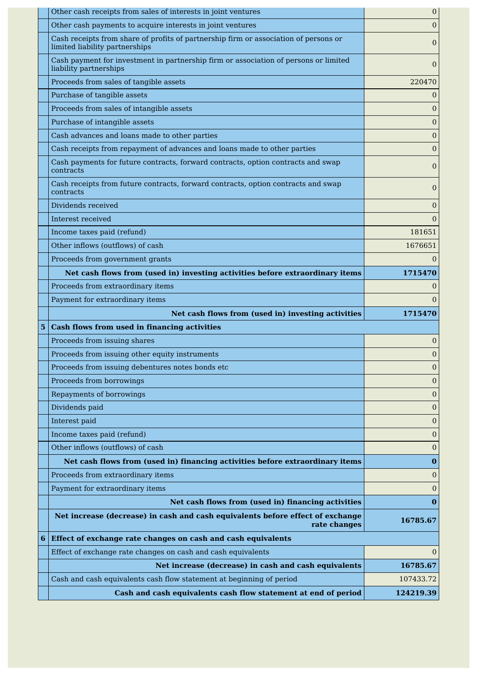|                 | Other cash receipts from sales of interests in joint ventures                                                          | $\overline{0}$   |
|-----------------|------------------------------------------------------------------------------------------------------------------------|------------------|
|                 | Other cash payments to acquire interests in joint ventures                                                             | $\overline{0}$   |
|                 | Cash receipts from share of profits of partnership firm or association of persons or<br>limited liability partnerships | $\overline{0}$   |
|                 | Cash payment for investment in partnership firm or association of persons or limited<br>liability partnerships         | $\Omega$         |
|                 | Proceeds from sales of tangible assets                                                                                 | 220470           |
|                 | Purchase of tangible assets                                                                                            | $\theta$         |
|                 | Proceeds from sales of intangible assets                                                                               | $\overline{0}$   |
|                 | Purchase of intangible assets                                                                                          | $\overline{0}$   |
|                 | Cash advances and loans made to other parties                                                                          | 0                |
|                 | Cash receipts from repayment of advances and loans made to other parties                                               | $\overline{0}$   |
|                 | Cash payments for future contracts, forward contracts, option contracts and swap<br>contracts                          | $\boldsymbol{0}$ |
|                 | Cash receipts from future contracts, forward contracts, option contracts and swap<br>contracts                         | $\overline{0}$   |
|                 | Dividends received                                                                                                     | $\boldsymbol{0}$ |
|                 | Interest received                                                                                                      | $\overline{0}$   |
|                 | Income taxes paid (refund)                                                                                             | 181651           |
|                 | Other inflows (outflows) of cash                                                                                       | 1676651          |
|                 | Proceeds from government grants                                                                                        | $\Omega$         |
|                 | Net cash flows from (used in) investing activities before extraordinary items                                          | 1715470          |
|                 | Proceeds from extraordinary items                                                                                      | $\overline{0}$   |
|                 | Payment for extraordinary items                                                                                        | $\Omega$         |
|                 |                                                                                                                        |                  |
|                 | Net cash flows from (used in) investing activities                                                                     | 1715470          |
| $5\phantom{.0}$ | <b>Cash flows from used in financing activities</b>                                                                    |                  |
|                 | Proceeds from issuing shares                                                                                           | $\bf{0}$         |
|                 | Proceeds from issuing other equity instruments                                                                         | $\mathbf{0}$     |
|                 | Proceeds from issuing debentures notes bonds etc                                                                       | $\boldsymbol{0}$ |
|                 | Proceeds from borrowings                                                                                               | $\overline{0}$   |
|                 | Repayments of borrowings                                                                                               | 0                |
|                 | Dividends paid                                                                                                         | $\mathbf{0}$     |
|                 | Interest paid                                                                                                          | $\overline{0}$   |
|                 | Income taxes paid (refund)                                                                                             | $\boldsymbol{0}$ |
|                 | Other inflows (outflows) of cash                                                                                       | $\theta$         |
|                 | Net cash flows from (used in) financing activities before extraordinary items                                          | $\bf{0}$         |
|                 | Proceeds from extraordinary items                                                                                      | $\mathbf{0}$     |
|                 | Payment for extraordinary items                                                                                        | $\overline{0}$   |
|                 | Net cash flows from (used in) financing activities                                                                     | $\bf{0}$         |
|                 | Net increase (decrease) in cash and cash equivalents before effect of exchange<br>rate changes                         | 16785.67         |
| 6               | Effect of exchange rate changes on cash and cash equivalents                                                           |                  |
|                 | Effect of exchange rate changes on cash and cash equivalents                                                           | $\overline{0}$   |
|                 | Net increase (decrease) in cash and cash equivalents                                                                   | 16785.67         |
|                 | Cash and cash equivalents cash flow statement at beginning of period                                                   | 107433.72        |